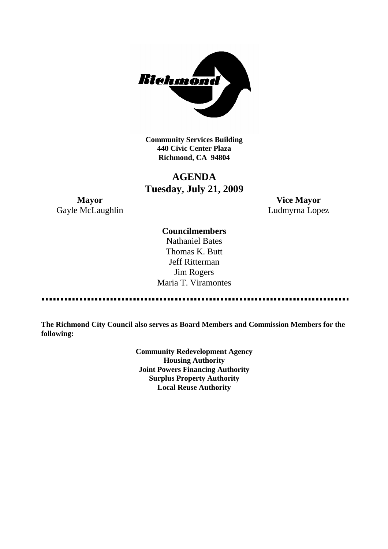

**Community Services Building 440 Civic Center Plaza Richmond, CA 94804**

# **AGENDA Tuesday, July 21, 2009**

Gayle McLaughlin Ludmyrna Lopez

**Mayor Vice Mayor**

# **Councilmembers**

Nathaniel Bates Thomas K. Butt Jeff Ritterman Jim Rogers Maria T. Viramontes

----------------------------------

**The Richmond City Council also serves as Board Members and Commission Members for the following:**

> **Community Redevelopment Agency Housing Authority Joint Powers Financing Authority Surplus Property Authority Local Reuse Authority**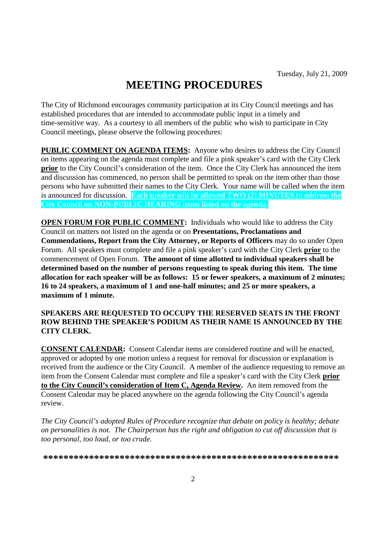# **MEETING PROCEDURES**

The City of Richmond encourages community participation at its City Council meetings and has established procedures that are intended to accommodate public input in a timely and time-sensitive way. As a courtesy to all members of the public who wish to participate in City Council meetings, please observe the following procedures:

**PUBLIC COMMENT ON AGENDA ITEMS:** Anyone who desires to address the City Council on items appearing on the agenda must complete and file a pink speaker's card with the City Clerk **prior** to the City Council's consideration of the item. Once the City Clerk has announced the item and discussion has commenced, no person shall be permitted to speak on the item other than those persons who have submitted their names to the City Clerk. Your name will be called when the item is announced for discussion. **Each speaker will be allowed TWO (2) MINUTES to address the City Council on NON-PUBLIC HEARING items listed on the agenda.**

**OPEN FORUM FOR PUBLIC COMMENT:** Individuals who would like to address the City Council on matters not listed on the agenda or on **Presentations, Proclamations and Commendations, Report from the City Attorney, or Reports of Officers** may do so under Open Forum. All speakers must complete and file a pink speaker's card with the City Clerk **prior** to the commencement of Open Forum. **The amount of time allotted to individual speakers shall be determined based on the number of persons requesting to speak during this item. The time allocation for each speaker will be as follows: 15 or fewer speakers, a maximum of 2 minutes; 16 to 24 speakers, a maximum of 1 and one-half minutes; and 25 or more speakers, a maximum of 1 minute.**

## **SPEAKERS ARE REQUESTED TO OCCUPY THE RESERVED SEATS IN THE FRONT ROW BEHIND THE SPEAKER'S PODIUM AS THEIR NAME IS ANNOUNCED BY THE CITY CLERK.**

**CONSENT CALENDAR:** Consent Calendar items are considered routine and will be enacted, approved or adopted by one motion unless a request for removal for discussion or explanation is received from the audience or the City Council. A member of the audience requesting to remove an item from the Consent Calendar must complete and file a speaker's card with the City Clerk **prior to the City Council's consideration of Item C, Agenda Review.** An item removed from the Consent Calendar may be placed anywhere on the agenda following the City Council's agenda review.

*The City Council's adopted Rules of Procedure recognize that debate on policy is healthy; debate on personalities is not. The Chairperson has the right and obligation to cut off discussion that is too personal, too loud, or too crude.*

**\*\*\*\*\*\*\*\*\*\*\*\*\*\*\*\*\*\*\*\*\*\*\*\*\*\*\*\*\*\*\*\*\*\*\*\*\*\*\*\*\*\*\*\*\*\*\*\*\*\*\*\*\*\*\*\*\*\***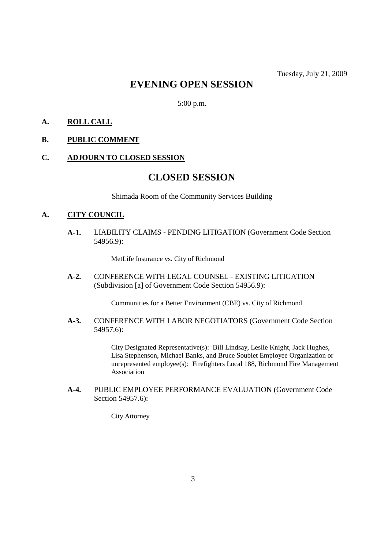# **EVENING OPEN SESSION**

5:00 p.m.

# **A. ROLL CALL**

# **B. PUBLIC COMMENT**

#### **C. ADJOURN TO CLOSED SESSION**

# **CLOSED SESSION**

Shimada Room of the Community Services Building

#### **A. CITY COUNCIL**

**A-1.** LIABILITY CLAIMS - PENDING LITIGATION (Government Code Section 54956.9):

MetLife Insurance vs. City of Richmond

**A-2.** CONFERENCE WITH LEGAL COUNSEL - EXISTING LITIGATION (Subdivision [a] of Government Code Section 54956.9):

Communities for a Better Environment (CBE) vs. City of Richmond

**A-3.** CONFERENCE WITH LABOR NEGOTIATORS (Government Code Section 54957.6):

> City Designated Representative(s): Bill Lindsay, Leslie Knight, Jack Hughes, Lisa Stephenson, Michael Banks, and Bruce Soublet Employee Organization or unrepresented employee(s): Firefighters Local 188, Richmond Fire Management Association

**A-4.** PUBLIC EMPLOYEE PERFORMANCE EVALUATION (Government Code Section 54957.6):

City Attorney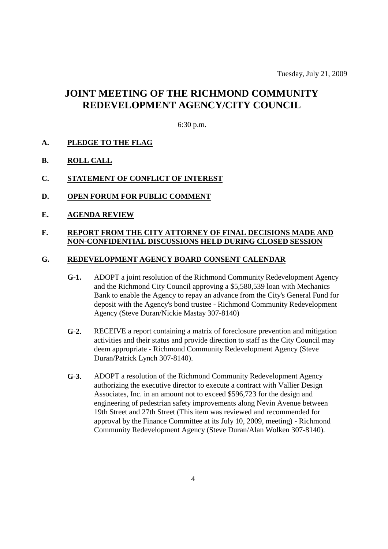# **JOINT MEETING OF THE RICHMOND COMMUNITY REDEVELOPMENT AGENCY/CITY COUNCIL**

# 6:30 p.m.

# **A. PLEDGE TO THE FLAG**

**B. ROLL CALL**

## **C. STATEMENT OF CONFLICT OF INTEREST**

- **D. OPEN FORUM FOR PUBLIC COMMENT**
- **E. AGENDA REVIEW**

### **F. REPORT FROM THE CITY ATTORNEY OF FINAL DECISIONS MADE AND NON-CONFIDENTIAL DISCUSSIONS HELD DURING CLOSED SESSION**

#### **G. REDEVELOPMENT AGENCY BOARD CONSENT CALENDAR**

- **G-1.** ADOPT a joint resolution of the Richmond Community Redevelopment Agency and the Richmond City Council approving a \$5,580,539 loan with Mechanics Bank to enable the Agency to repay an advance from the City's General Fund for deposit with the Agency's bond trustee - Richmond Community Redevelopment Agency (Steve Duran/Nickie Mastay 307-8140)
- **G-2.** RECEIVE a report containing a matrix of foreclosure prevention and mitigation activities and their status and provide direction to staff as the City Council may deem appropriate - Richmond Community Redevelopment Agency (Steve Duran/Patrick Lynch 307-8140).
- **G-3.** ADOPT a resolution of the Richmond Community Redevelopment Agency authorizing the executive director to execute a contract with Vallier Design Associates, Inc. in an amount not to exceed \$596,723 for the design and engineering of pedestrian safety improvements along Nevin Avenue between 19th Street and 27th Street (This item was reviewed and recommended for approval by the Finance Committee at its July 10, 2009, meeting) - Richmond Community Redevelopment Agency (Steve Duran/Alan Wolken 307-8140).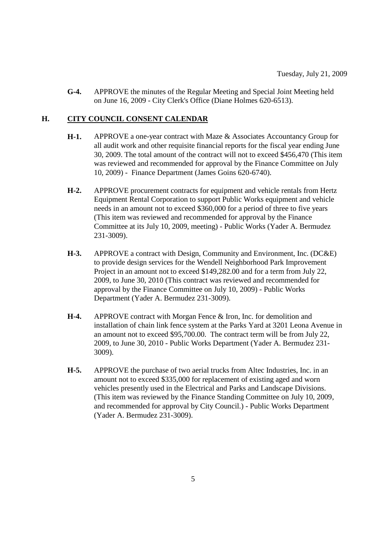**G-4.** APPROVE the minutes of the Regular Meeting and Special Joint Meeting held on June 16, 2009 - City Clerk's Office (Diane Holmes 620-6513).

# **H. CITY COUNCIL CONSENT CALENDAR**

- **H-1.** APPROVE a one-year contract with Maze & Associates Accountancy Group for all audit work and other requisite financial reports for the fiscal year ending June 30, 2009. The total amount of the contract will not to exceed \$456,470 (This item was reviewed and recommended for approval by the Finance Committee on July 10, 2009) - Finance Department (James Goins 620-6740).
- **H-2.** APPROVE procurement contracts for equipment and vehicle rentals from Hertz Equipment Rental Corporation to support Public Works equipment and vehicle needs in an amount not to exceed \$360,000 for a period of three to five years (This item was reviewed and recommended for approval by the Finance Committee at its July 10, 2009, meeting) - Public Works (Yader A. Bermudez 231-3009).
- **H-3.** APPROVE a contract with Design, Community and Environment, Inc. (DC&E) to provide design services for the Wendell Neighborhood Park Improvement Project in an amount not to exceed \$149,282.00 and for a term from July 22, 2009, to June 30, 2010 (This contract was reviewed and recommended for approval by the Finance Committee on July 10, 2009) - Public Works Department (Yader A. Bermudez 231-3009).
- **H-4.** APPROVE contract with Morgan Fence & Iron, Inc. for demolition and installation of chain link fence system at the Parks Yard at 3201 Leona Avenue in an amount not to exceed \$95,700.00. The contract term will be from July 22, 2009, to June 30, 2010 - Public Works Department (Yader A. Bermudez 231- 3009).
- **H-5.** APPROVE the purchase of two aerial trucks from Altec Industries, Inc. in an amount not to exceed \$335,000 for replacement of existing aged and worn vehicles presently used in the Electrical and Parks and Landscape Divisions. (This item was reviewed by the Finance Standing Committee on July 10, 2009, and recommended for approval by City Council.) - Public Works Department (Yader A. Bermudez 231-3009).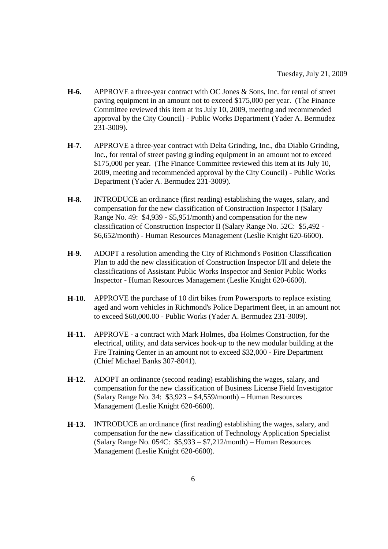- **H-6.** APPROVE a three-year contract with OC Jones & Sons, Inc. for rental of street paving equipment in an amount not to exceed \$175,000 per year. (The Finance Committee reviewed this item at its July 10, 2009, meeting and recommended approval by the City Council) - Public Works Department (Yader A. Bermudez 231-3009).
- **H-7.** APPROVE a three-year contract with Delta Grinding, Inc., dba Diablo Grinding, Inc., for rental of street paving grinding equipment in an amount not to exceed \$175,000 per year. (The Finance Committee reviewed this item at its July 10, 2009, meeting and recommended approval by the City Council) - Public Works Department (Yader A. Bermudez 231-3009).
- **H-8.** INTRODUCE an ordinance (first reading) establishing the wages, salary, and compensation for the new classification of Construction Inspector I (Salary Range No. 49: \$4,939 - \$5,951/month) and compensation for the new classification of Construction Inspector II (Salary Range No. 52C: \$5,492 - \$6,652/month) - Human Resources Management (Leslie Knight 620-6600).
- **H-9.** ADOPT a resolution amending the City of Richmond's Position Classification Plan to add the new classification of Construction Inspector I/II and delete the classifications of Assistant Public Works Inspector and Senior Public Works Inspector - Human Resources Management (Leslie Knight 620-6600).
- **H-10.** APPROVE the purchase of 10 dirt bikes from Powersports to replace existing aged and worn vehicles in Richmond's Police Department fleet, in an amount not to exceed \$60,000.00 - Public Works (Yader A. Bermudez 231-3009).
- **H-11.** APPROVE a contract with Mark Holmes, dba Holmes Construction, for the electrical, utility, and data services hook-up to the new modular building at the Fire Training Center in an amount not to exceed \$32,000 - Fire Department (Chief Michael Banks 307-8041).
- **H-12.** ADOPT an ordinance (second reading) establishing the wages, salary, and compensation for the new classification of Business License Field Investigator (Salary Range No. 34: \$3,923 – \$4,559/month) – Human Resources Management (Leslie Knight 620-6600).
- **H-13.** INTRODUCE an ordinance (first reading) establishing the wages, salary, and compensation for the new classification of Technology Application Specialist (Salary Range No. 054C: \$5,933 – \$7,212/month) – Human Resources Management (Leslie Knight 620-6600).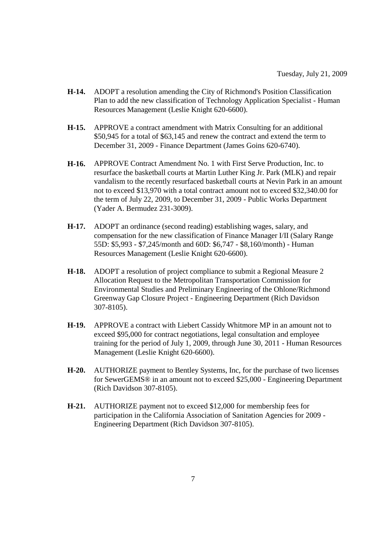- **H-14.** ADOPT a resolution amending the City of Richmond's Position Classification Plan to add the new classification of Technology Application Specialist - Human Resources Management (Leslie Knight 620-6600).
- **H-15.** APPROVE a contract amendment with Matrix Consulting for an additional \$50,945 for a total of \$63,145 and renew the contract and extend the term to December 31, 2009 - Finance Department (James Goins 620-6740).
- **H-16.** APPROVE Contract Amendment No. 1 with First Serve Production, Inc. to resurface the basketball courts at Martin Luther King Jr. Park (MLK) and repair vandalism to the recently resurfaced basketball courts at Nevin Park in an amount not to exceed \$13,970 with a total contract amount not to exceed \$32,340.00 for the term of July 22, 2009, to December 31, 2009 - Public Works Department (Yader A. Bermudez 231-3009).
- **H-17.** ADOPT an ordinance (second reading) establishing wages, salary, and compensation for the new classification of Finance Manager I/II (Salary Range 55D: \$5,993 - \$7,245/month and 60D: \$6,747 - \$8,160/month) - Human Resources Management (Leslie Knight 620-6600).
- **H-18.** ADOPT a resolution of project compliance to submit a Regional Measure 2 Allocation Request to the Metropolitan Transportation Commission for Environmental Studies and Preliminary Engineering of the Ohlone/Richmond Greenway Gap Closure Project - Engineering Department (Rich Davidson 307-8105).
- **H-19.** APPROVE a contract with Liebert Cassidy Whitmore MP in an amount not to exceed \$95,000 for contract negotiations, legal consultation and employee training for the period of July 1, 2009, through June 30, 2011 - Human Resources Management (Leslie Knight 620-6600).
- **H-20.** AUTHORIZE payment to Bentley Systems, Inc, for the purchase of two licenses for SewerGEMS® in an amount not to exceed \$25,000 - Engineering Department (Rich Davidson 307-8105).
- **H-21.** AUTHORIZE payment not to exceed \$12,000 for membership fees for participation in the California Association of Sanitation Agencies for 2009 - Engineering Department (Rich Davidson 307-8105).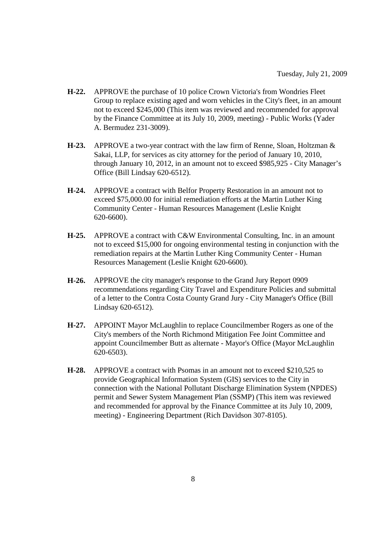- **H-22.** APPROVE the purchase of 10 police Crown Victoria's from Wondries Fleet Group to replace existing aged and worn vehicles in the City's fleet, in an amount not to exceed \$245,000 (This item was reviewed and recommended for approval by the Finance Committee at its July 10, 2009, meeting) - Public Works (Yader A. Bermudez 231-3009).
- **H-23.** APPROVE a two-year contract with the law firm of Renne, Sloan, Holtzman & Sakai, LLP, for services as city attorney for the period of January 10, 2010, through January 10, 2012, in an amount not to exceed \$985,925 - City Manager's Office (Bill Lindsay 620-6512).
- **H-24.** APPROVE a contract with Belfor Property Restoration in an amount not to exceed \$75,000.00 for initial remediation efforts at the Martin Luther King Community Center - Human Resources Management (Leslie Knight 620-6600).
- **H-25.** APPROVE a contract with C&W Environmental Consulting, Inc. in an amount not to exceed \$15,000 for ongoing environmental testing in conjunction with the remediation repairs at the Martin Luther King Community Center - Human Resources Management (Leslie Knight 620-6600).
- **H-26.** APPROVE the city manager's response to the Grand Jury Report 0909 recommendations regarding City Travel and Expenditure Policies and submittal of a letter to the Contra Costa County Grand Jury - City Manager's Office (Bill Lindsay 620-6512).
- **H-27.** APPOINT Mayor McLaughlin to replace Councilmember Rogers as one of the City's members of the North Richmond Mitigation Fee Joint Committee and appoint Councilmember Butt as alternate - Mayor's Office (Mayor McLaughlin 620-6503).
- **H-28.** APPROVE a contract with Psomas in an amount not to exceed \$210,525 to provide Geographical Information System (GIS) services to the City in connection with the National Pollutant Discharge Elimination System (NPDES) permit and Sewer System Management Plan (SSMP) (This item was reviewed and recommended for approval by the Finance Committee at its July 10, 2009, meeting) - Engineering Department (Rich Davidson 307-8105).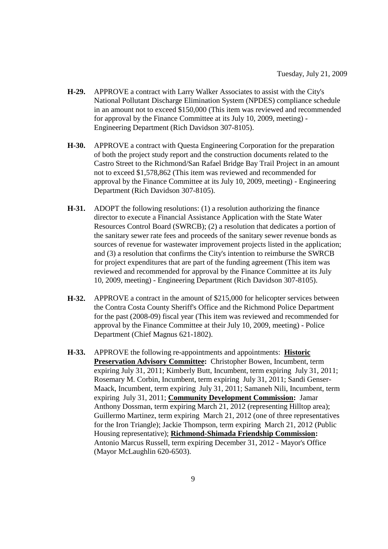- **H-29.** APPROVE a contract with Larry Walker Associates to assist with the City's National Pollutant Discharge Elimination System (NPDES) compliance schedule in an amount not to exceed \$150,000 (This item was reviewed and recommended for approval by the Finance Committee at its July 10, 2009, meeting) - Engineering Department (Rich Davidson 307-8105).
- **H-30.** APPROVE a contract with Questa Engineering Corporation for the preparation of both the project study report and the construction documents related to the Castro Street to the Richmond/San Rafael Bridge Bay Trail Project in an amount not to exceed \$1,578,862 (This item was reviewed and recommended for approval by the Finance Committee at its July 10, 2009, meeting) - Engineering Department (Rich Davidson 307-8105).
- **H-31.** ADOPT the following resolutions: (1) a resolution authorizing the finance director to execute a Financial Assistance Application with the State Water Resources Control Board (SWRCB); (2) a resolution that dedicates a portion of the sanitary sewer rate fees and proceeds of the sanitary sewer revenue bonds as sources of revenue for wastewater improvement projects listed in the application; and (3) a resolution that confirms the City's intention to reimburse the SWRCB for project expenditures that are part of the funding agreement (This item was reviewed and recommended for approval by the Finance Committee at its July 10, 2009, meeting) - Engineering Department (Rich Davidson 307-8105).
- **H-32.** APPROVE a contract in the amount of \$215,000 for helicopter services between the Contra Costa County Sheriff's Office and the Richmond Police Department for the past (2008-09) fiscal year (This item was reviewed and recommended for approval by the Finance Committee at their July 10, 2009, meeting) - Police Department (Chief Magnus 621-1802).
- **H-33.** APPROVE the following re-appointments and appointments: **Historic Preservation Advisory Committee:** Christopher Bowen, Incumbent, term expiring July 31, 2011; Kimberly Butt, Incumbent, term expiring July 31, 2011; Rosemary M. Corbin, Incumbent, term expiring July 31, 2011; Sandi Genser-Maack, Incumbent, term expiring July 31, 2011; Samaneh Nili, Incumbent, term expiring July 31, 2011; **Community Development Commission:** Jamar Anthony Dossman, term expiring March 21, 2012 (representing Hilltop area); Guillermo Martinez, term expiring March 21, 2012 (one of three representatives for the Iron Triangle); Jackie Thompson, term expiring March 21, 2012 (Public Housing representative); **Richmond-Shimada Friendship Commission:** Antonio Marcus Russell, term expiring December 31, 2012 - Mayor's Office (Mayor McLaughlin 620-6503).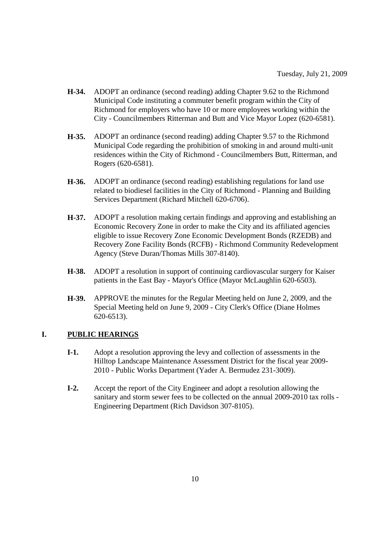- **H-34.** ADOPT an ordinance (second reading) adding Chapter 9.62 to the Richmond Municipal Code instituting a commuter benefit program within the City of Richmond for employers who have 10 or more employees working within the City - Councilmembers Ritterman and Butt and Vice Mayor Lopez (620-6581).
- **H-35.** ADOPT an ordinance (second reading) adding Chapter 9.57 to the Richmond Municipal Code regarding the prohibition of smoking in and around multi-unit residences within the City of Richmond - Councilmembers Butt, Ritterman, and Rogers (620-6581).
- **H-36.** ADOPT an ordinance (second reading) establishing regulations for land use related to biodiesel facilities in the City of Richmond - Planning and Building Services Department (Richard Mitchell 620-6706).
- **H-37.** ADOPT a resolution making certain findings and approving and establishing an Economic Recovery Zone in order to make the City and its affiliated agencies eligible to issue Recovery Zone Economic Development Bonds (RZEDB) and Recovery Zone Facility Bonds (RCFB) - Richmond Community Redevelopment Agency (Steve Duran/Thomas Mills 307-8140).
- **H-38.** ADOPT a resolution in support of continuing cardiovascular surgery for Kaiser patients in the East Bay - Mayor's Office (Mayor McLaughlin 620-6503).
- **H-39.** APPROVE the minutes for the Regular Meeting held on June 2, 2009, and the Special Meeting held on June 9, 2009 - City Clerk's Office (Diane Holmes 620-6513).

# **I. PUBLIC HEARINGS**

- **I-1.** Adopt a resolution approving the levy and collection of assessments in the Hilltop Landscape Maintenance Assessment District for the fiscal year 2009- 2010 - Public Works Department (Yader A. Bermudez 231-3009).
- **I-2.** Accept the report of the City Engineer and adopt a resolution allowing the sanitary and storm sewer fees to be collected on the annual 2009-2010 tax rolls - Engineering Department (Rich Davidson 307-8105).